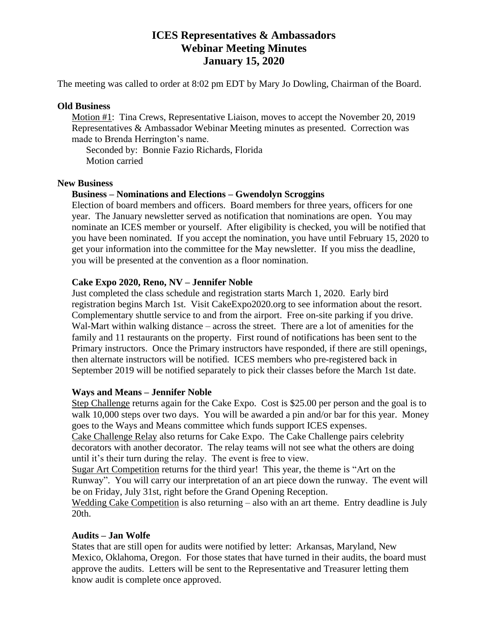# **ICES Representatives & Ambassadors Webinar Meeting Minutes January 15, 2020**

The meeting was called to order at 8:02 pm EDT by Mary Jo Dowling, Chairman of the Board.

### **Old Business**

Motion #1: Tina Crews, Representative Liaison, moves to accept the November 20, 2019 Representatives & Ambassador Webinar Meeting minutes as presented. Correction was made to Brenda Herrington's name.

Seconded by: Bonnie Fazio Richards, Florida Motion carried

### **New Business**

### **Business – Nominations and Elections – Gwendolyn Scroggins**

Election of board members and officers. Board members for three years, officers for one year. The January newsletter served as notification that nominations are open. You may nominate an ICES member or yourself. After eligibility is checked, you will be notified that you have been nominated. If you accept the nomination, you have until February 15, 2020 to get your information into the committee for the May newsletter. If you miss the deadline, you will be presented at the convention as a floor nomination.

### **Cake Expo 2020, Reno, NV – Jennifer Noble**

Just completed the class schedule and registration starts March 1, 2020. Early bird registration begins March 1st. Visit CakeExpo2020.org to see information about the resort. Complementary shuttle service to and from the airport. Free on-site parking if you drive. Wal-Mart within walking distance – across the street. There are a lot of amenities for the family and 11 restaurants on the property. First round of notifications has been sent to the Primary instructors. Once the Primary instructors have responded, if there are still openings, then alternate instructors will be notified. ICES members who pre-registered back in September 2019 will be notified separately to pick their classes before the March 1st date.

## **Ways and Means – Jennifer Noble**

Step Challenge returns again for the Cake Expo. Cost is \$25.00 per person and the goal is to walk 10,000 steps over two days. You will be awarded a pin and/or bar for this year. Money goes to the Ways and Means committee which funds support ICES expenses.

Cake Challenge Relay also returns for Cake Expo. The Cake Challenge pairs celebrity decorators with another decorator. The relay teams will not see what the others are doing until it's their turn during the relay. The event is free to view.

Sugar Art Competition returns for the third year! This year, the theme is "Art on the Runway". You will carry our interpretation of an art piece down the runway. The event will be on Friday, July 31st, right before the Grand Opening Reception.

Wedding Cake Competition is also returning – also with an art theme. Entry deadline is July 20th.

## **Audits – Jan Wolfe**

States that are still open for audits were notified by letter: Arkansas, Maryland, New Mexico, Oklahoma, Oregon. For those states that have turned in their audits, the board must approve the audits. Letters will be sent to the Representative and Treasurer letting them know audit is complete once approved.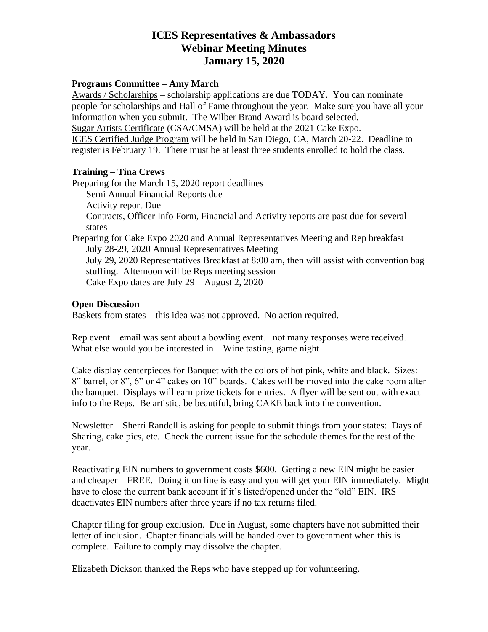# **ICES Representatives & Ambassadors Webinar Meeting Minutes January 15, 2020**

### **Programs Committee – Amy March**

Awards / Scholarships – scholarship applications are due TODAY. You can nominate people for scholarships and Hall of Fame throughout the year. Make sure you have all your information when you submit. The Wilber Brand Award is board selected. Sugar Artists Certificate (CSA/CMSA) will be held at the 2021 Cake Expo. ICES Certified Judge Program will be held in San Diego, CA, March 20-22. Deadline to register is February 19. There must be at least three students enrolled to hold the class.

## **Training – Tina Crews**

Preparing for the March 15, 2020 report deadlines Semi Annual Financial Reports due Activity report Due Contracts, Officer Info Form, Financial and Activity reports are past due for several states Preparing for Cake Expo 2020 and Annual Representatives Meeting and Rep breakfast July 28-29, 2020 Annual Representatives Meeting July 29, 2020 Representatives Breakfast at 8:00 am, then will assist with convention bag stuffing. Afternoon will be Reps meeting session Cake Expo dates are July 29 – August 2, 2020

### **Open Discussion**

Baskets from states – this idea was not approved. No action required.

Rep event – email was sent about a bowling event…not many responses were received. What else would you be interested in – Wine tasting, game night

Cake display centerpieces for Banquet with the colors of hot pink, white and black. Sizes: 8" barrel, or 8", 6" or 4" cakes on 10" boards. Cakes will be moved into the cake room after the banquet. Displays will earn prize tickets for entries. A flyer will be sent out with exact info to the Reps. Be artistic, be beautiful, bring CAKE back into the convention.

Newsletter – Sherri Randell is asking for people to submit things from your states: Days of Sharing, cake pics, etc. Check the current issue for the schedule themes for the rest of the year.

Reactivating EIN numbers to government costs \$600. Getting a new EIN might be easier and cheaper – FREE. Doing it on line is easy and you will get your EIN immediately. Might have to close the current bank account if it's listed/opened under the "old" EIN. IRS deactivates EIN numbers after three years if no tax returns filed.

Chapter filing for group exclusion. Due in August, some chapters have not submitted their letter of inclusion. Chapter financials will be handed over to government when this is complete. Failure to comply may dissolve the chapter.

Elizabeth Dickson thanked the Reps who have stepped up for volunteering.